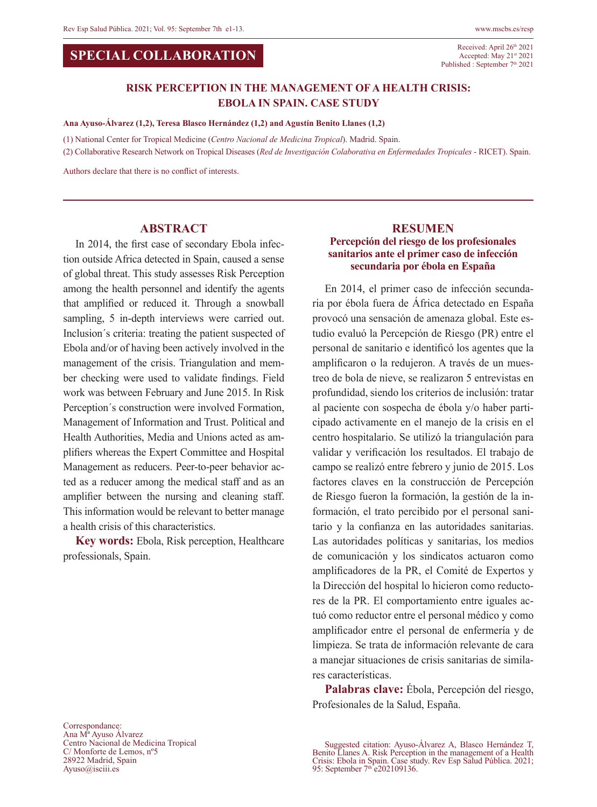#### **SPECIAL COLLABORATION**

Received: April 26<sup>th</sup> 2021 Accepted: May 21st 2021 Published : September 7<sup>th</sup> 2021

### **RISK PERCEPTION IN THE MANAGEMENT OF A HEALTH CRISIS: EBOLA IN SPAIN. CASE STUDY**

**Ana Ayuso-Álvarez (1,2), Teresa Blasco Hernández (1,2) and Agustín Benito Llanes (1,2)** 

(1) National Center for Tropical Medicine (*Centro Nacional de Medicina Tropical*). Madrid. Spain.

(2) Collaborative Research Network on Tropical Diseases (*Red de Investigación Colaborativa en Enfermedades Tropicales* - RICET). Spain.

Authors declare that there is no conflict of interests.

#### **ABSTRACT**

In 2014, the first case of secondary Ebola infection outside Africa detected in Spain, caused a sense of global threat. This study assesses Risk Perception among the health personnel and identify the agents that amplified or reduced it. Through a snowball sampling, 5 in-depth interviews were carried out. Inclusion´s criteria: treating the patient suspected of Ebola and/or of having been actively involved in the management of the crisis. Triangulation and member checking were used to validate findings. Field work was between February and June 2015. In Risk Perception´s construction were involved Formation, Management of Information and Trust. Political and Health Authorities, Media and Unions acted as amplifiers whereas the Expert Committee and Hospital Management as reducers. Peer-to-peer behavior acted as a reducer among the medical staff and as an amplifier between the nursing and cleaning staff. This information would be relevant to better manage a health crisis of this characteristics.

**Key words:** Ebola, Risk perception, Healthcare professionals, Spain.

#### **RESUMEN Percepción del riesgo de los profesionales sanitarios ante el primer caso de infección secundaria por ébola en España**

En 2014, el primer caso de infección secundaria por ébola fuera de África detectado en España provocó una sensación de amenaza global. Este estudio evaluó la Percepción de Riesgo (PR) entre el personal de sanitario e identificó los agentes que la amplificaron o la redujeron. A través de un muestreo de bola de nieve, se realizaron 5 entrevistas en profundidad, siendo los criterios de inclusión: tratar al paciente con sospecha de ébola y/o haber participado activamente en el manejo de la crisis en el centro hospitalario. Se utilizó la triangulación para validar y verificación los resultados. El trabajo de campo se realizó entre febrero y junio de 2015. Los factores claves en la construcción de Percepción de Riesgo fueron la formación, la gestión de la información, el trato percibido por el personal sanitario y la confianza en las autoridades sanitarias. Las autoridades políticas y sanitarias, los medios de comunicación y los sindicatos actuaron como amplificadores de la PR, el Comité de Expertos y la Dirección del hospital lo hicieron como reductores de la PR. El comportamiento entre iguales actuó como reductor entre el personal médico y como amplificador entre el personal de enfermería y de limpieza. Se trata de información relevante de cara a manejar situaciones de crisis sanitarias de similares características.

**Palabras clave:** Ébola, Percepción del riesgo, Profesionales de la Salud, España.

Correspondance: Ana Mª Ayuso Álvarez Centro Nacional de Medicina Tropical C/ Monforte de Lemos, nº5 28922 Madrid, Spain Ayuso@isciii.es

Suggested citation: Ayuso-Álvarez A, Blasco Hernández T, Benito Llanes A. Risk Perception in the management of a Health Crisis: Ebola in Spain. Case study. Rev Esp Salud Pública. 2021;<br>95: September 7<sup>th</sup> e202109136.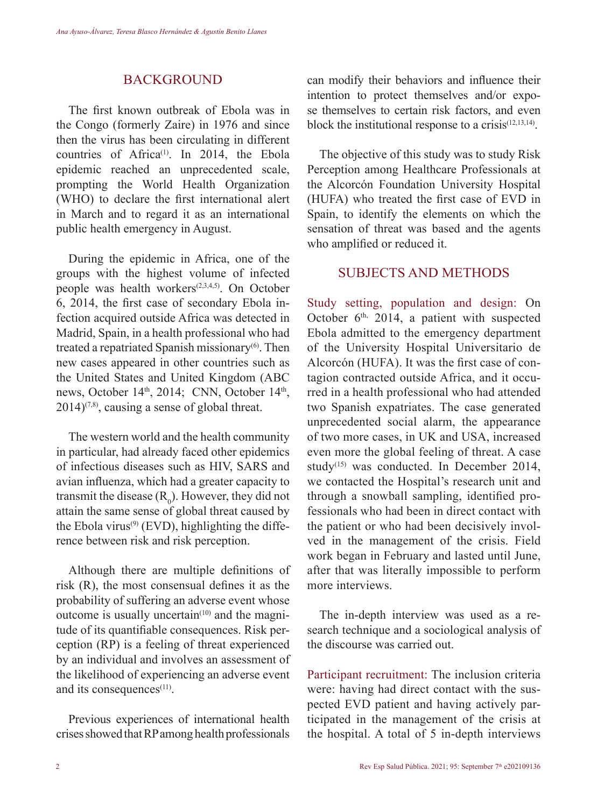#### **BACKGROUND**

The first known outbreak of Ebola was in the Congo (formerly Zaire) in 1976 and since then the virus has been circulating in different countries of  $A$ frica<sup>(1)</sup>. In 2014, the Ebola epidemic reached an unprecedented scale, prompting the World Health Organization (WHO) to declare the first international alert in March and to regard it as an international public health emergency in August.

During the epidemic in Africa, one of the groups with the highest volume of infected people was health workers<sup> $(2,3,4,5)$ </sup>. On October 6, 2014, the first case of secondary Ebola infection acquired outside Africa was detected in Madrid, Spain, in a health professional who had treated a repatriated Spanish missionary<sup>(6)</sup>. Then new cases appeared in other countries such as the United States and United Kingdom (ABC news, October 14<sup>th</sup>, 2014; CNN, October 14<sup>th</sup>,  $2014$ <sup> $(7,8)$ </sup>, causing a sense of global threat.

The western world and the health community in particular, had already faced other epidemics of infectious diseases such as HIV, SARS and avian influenza, which had a greater capacity to transmit the disease  $(R_0)$ . However, they did not attain the same sense of global threat caused by the Ebola virus<sup> $(9)$ </sup> (EVD), highlighting the difference between risk and risk perception.

Although there are multiple definitions of risk (R), the most consensual defines it as the probability of suffering an adverse event whose outcome is usually uncertain $(10)$  and the magnitude of its quantifiable consequences. Risk perception (RP) is a feeling of threat experienced by an individual and involves an assessment of the likelihood of experiencing an adverse event and its consequences<sup>(11)</sup>.

Previous experiences of international health crises showed that RP among health professionals

can modify their behaviors and influence their intention to protect themselves and/or expose themselves to certain risk factors, and even block the institutional response to a crisis $(12,13,14)$ .

The objective of this study was to study Risk Perception among Healthcare Professionals at the Alcorcón Foundation University Hospital (HUFA) who treated the first case of EVD in Spain, to identify the elements on which the sensation of threat was based and the agents who amplified or reduced it.

# SUBJECTS AND METHODS

Study setting, population and design: On October  $6<sup>th</sup>$ , 2014, a patient with suspected Ebola admitted to the emergency department of the University Hospital Universitario de Alcorcón (HUFA). It was the first case of contagion contracted outside Africa, and it occurred in a health professional who had attended two Spanish expatriates. The case generated unprecedented social alarm, the appearance of two more cases, in UK and USA, increased even more the global feeling of threat. A case study<sup>(15)</sup> was conducted. In December 2014, we contacted the Hospital's research unit and through a snowball sampling, identified professionals who had been in direct contact with the patient or who had been decisively involved in the management of the crisis. Field work began in February and lasted until June, after that was literally impossible to perform more interviews.

The in-depth interview was used as a research technique and a sociological analysis of the discourse was carried out.

Participant recruitment: The inclusion criteria were: having had direct contact with the suspected EVD patient and having actively participated in the management of the crisis at the hospital. A total of 5 in-depth interviews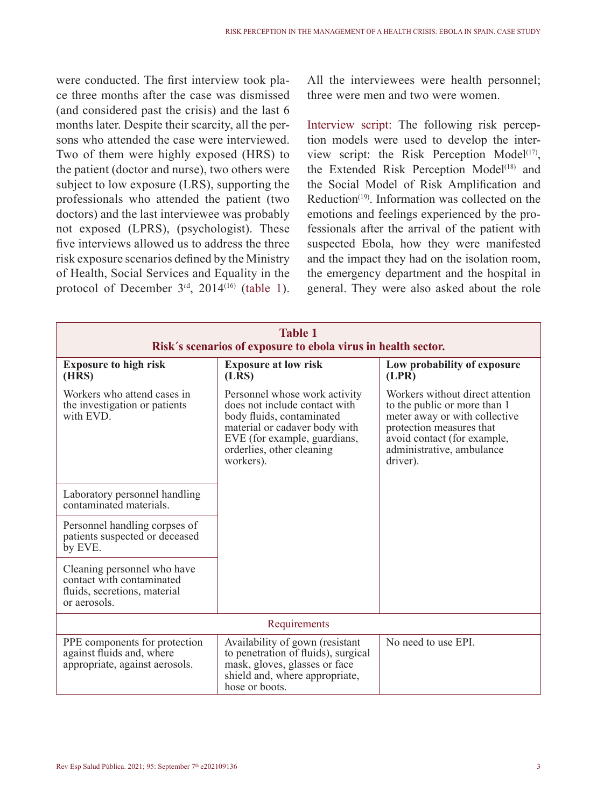were conducted. The first interview took place three months after the case was dismissed (and considered past the crisis) and the last 6 months later. Despite their scarcity, all the persons who attended the case were interviewed. Two of them were highly exposed (HRS) to the patient (doctor and nurse), two others were subject to low exposure (LRS), supporting the professionals who attended the patient (two doctors) and the last interviewee was probably not exposed (LPRS), (psychologist). These five interviews allowed us to address the three risk exposure scenarios defined by the Ministry of Health, Social Services and Equality in the protocol of December  $3<sup>rd</sup>$ , 2014<sup>(16)</sup> (table 1).

All the interviewees were health personnel; three were men and two were women.

Interview script: The following risk perception models were used to develop the interview script: the Risk Perception Model $(17)$ , the Extended Risk Perception Model<sup>(18)</sup> and the Social Model of Risk Amplification and Reduction(19). Information was collected on the emotions and feelings experienced by the professionals after the arrival of the patient with suspected Ebola, how they were manifested and the impact they had on the isolation room, the emergency department and the hospital in general. They were also asked about the role

| <b>Table 1</b><br>Risk's scenarios of exposure to ebola virus in health sector.                          |                                                                                                                                                                                                        |                                                                                                                                                                                                       |
|----------------------------------------------------------------------------------------------------------|--------------------------------------------------------------------------------------------------------------------------------------------------------------------------------------------------------|-------------------------------------------------------------------------------------------------------------------------------------------------------------------------------------------------------|
| <b>Exposure to high risk</b><br>(HRS)                                                                    | <b>Exposure at low risk</b><br>(LRS)                                                                                                                                                                   | Low probability of exposure<br>(LPR)                                                                                                                                                                  |
| Workers who attend cases in<br>the investigation or patients<br>with EVD.                                | Personnel whose work activity<br>does not include contact with<br>body fluids, contaminated<br>material or cadaver body with<br>EVE (for example, guardians,<br>orderlies, other cleaning<br>workers). | Workers without direct attention<br>to the public or more than 1<br>meter away or with collective<br>protection measures that<br>avoid contact (for example,<br>administrative, ambulance<br>driver). |
| Laboratory personnel handling<br>contaminated materials.                                                 |                                                                                                                                                                                                        |                                                                                                                                                                                                       |
| Personnel handling corpses of<br>patients suspected or deceased<br>by EVE.                               |                                                                                                                                                                                                        |                                                                                                                                                                                                       |
| Cleaning personnel who have<br>contact with contaminated<br>fluids, secretions, material<br>or aerosols. |                                                                                                                                                                                                        |                                                                                                                                                                                                       |
| Requirements                                                                                             |                                                                                                                                                                                                        |                                                                                                                                                                                                       |
| PPE components for protection<br>against fluids and, where<br>appropriate, against aerosols.             | Availability of gown (resistant<br>to penetration of fluids), surgical<br>mask, gloves, glasses or face<br>shield and, where appropriate,<br>hose or boots.                                            | No need to use EPI.                                                                                                                                                                                   |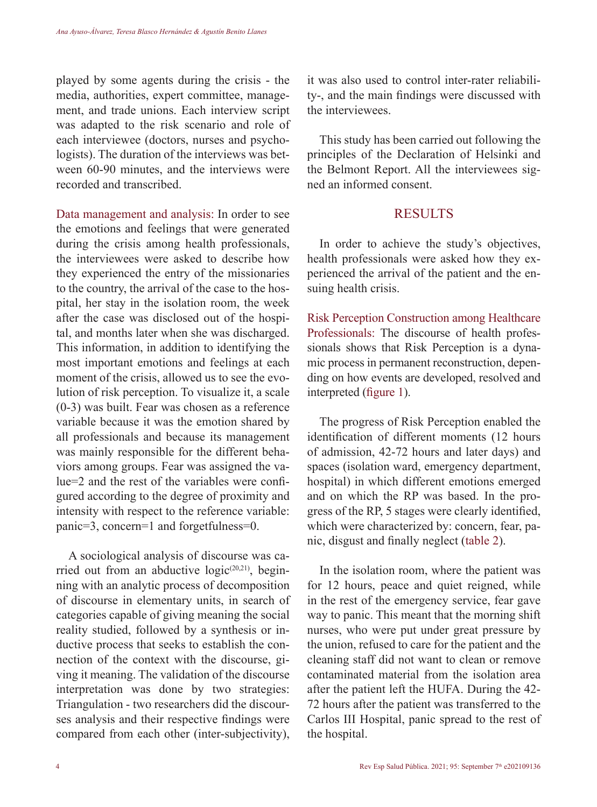played by some agents during the crisis - the media, authorities, expert committee, management, and trade unions. Each interview script was adapted to the risk scenario and role of each interviewee (doctors, nurses and psychologists). The duration of the interviews was between 60-90 minutes, and the interviews were recorded and transcribed.

Data management and analysis: In order to see the emotions and feelings that were generated during the crisis among health professionals, the interviewees were asked to describe how they experienced the entry of the missionaries to the country, the arrival of the case to the hospital, her stay in the isolation room, the week after the case was disclosed out of the hospital, and months later when she was discharged. This information, in addition to identifying the most important emotions and feelings at each moment of the crisis, allowed us to see the evolution of risk perception. To visualize it, a scale (0-3) was built. Fear was chosen as a reference variable because it was the emotion shared by all professionals and because its management was mainly responsible for the different behaviors among groups. Fear was assigned the value=2 and the rest of the variables were configured according to the degree of proximity and intensity with respect to the reference variable: panic=3, concern=1 and forgetfulness=0.

A sociological analysis of discourse was carried out from an abductive  $logic^{(20,21)}$ , beginning with an analytic process of decomposition of discourse in elementary units, in search of categories capable of giving meaning the social reality studied, followed by a synthesis or inductive process that seeks to establish the connection of the context with the discourse, giving it meaning. The validation of the discourse interpretation was done by two strategies: Triangulation - two researchers did the discourses analysis and their respective findings were compared from each other (inter-subjectivity),

it was also used to control inter-rater reliability-, and the main findings were discussed with the interviewees.

This study has been carried out following the principles of the Declaration of Helsinki and the Belmont Report. All the interviewees signed an informed consent.

# **RESULTS**

In order to achieve the study's objectives, health professionals were asked how they experienced the arrival of the patient and the ensuing health crisis.

Risk Perception Construction among Healthcare Professionals: The discourse of health professionals shows that Risk Perception is a dynamic process in permanent reconstruction, depending on how events are developed, resolved and interpreted (figure 1).

The progress of Risk Perception enabled the identification of different moments (12 hours of admission, 42-72 hours and later days) and spaces (isolation ward, emergency department, hospital) in which different emotions emerged and on which the RP was based. In the progress of the RP, 5 stages were clearly identified, which were characterized by: concern, fear, panic, disgust and finally neglect (table 2).

In the isolation room, where the patient was for 12 hours, peace and quiet reigned, while in the rest of the emergency service, fear gave way to panic. This meant that the morning shift nurses, who were put under great pressure by the union, refused to care for the patient and the cleaning staff did not want to clean or remove contaminated material from the isolation area after the patient left the HUFA. During the 42- 72 hours after the patient was transferred to the Carlos III Hospital, panic spread to the rest of the hospital.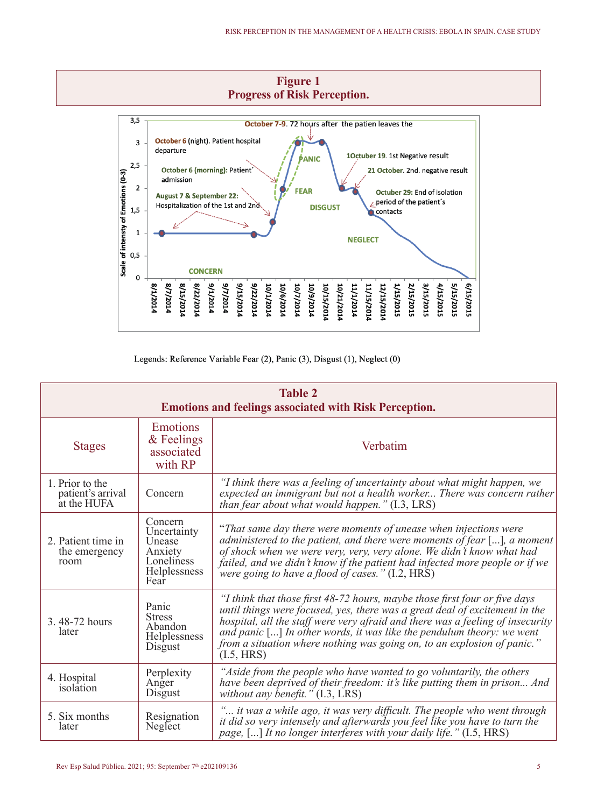

Legends: Reference Variable Fear (2), Panic (3), Disgust (1), Neglect (0)

| <b>Table 2</b><br><b>Emotions and feelings associated with Risk Perception.</b> |                                                                                   |                                                                                                                                                                                                                                                                                                                                                                                                                 |
|---------------------------------------------------------------------------------|-----------------------------------------------------------------------------------|-----------------------------------------------------------------------------------------------------------------------------------------------------------------------------------------------------------------------------------------------------------------------------------------------------------------------------------------------------------------------------------------------------------------|
| <b>Stages</b>                                                                   | Emotions<br>& Feelings<br>associated<br>with RP                                   | Verbatim                                                                                                                                                                                                                                                                                                                                                                                                        |
| 1. Prior to the<br>patient's arrival<br>at the HUFA                             | Concern                                                                           | "I think there was a feeling of uncertainty about what might happen, we<br>expected an immigrant but not a health worker There was concern rather<br>than fear about what would happen." (I.3, LRS)                                                                                                                                                                                                             |
| 2. Patient time in<br>the emergency<br>room                                     | Concern<br>Uncertainty<br>Unease<br>Anxiety<br>Loneliness<br>Helplessness<br>Fear | "That same day there were moments of unease when injections were<br>administered to the patient, and there were moments of fear [], a moment<br>of shock when we were very, very, very alone. We didn't know what had<br>failed, and we didn't know if the patient had infected more people or if we<br>were going to have a flood of cases." (I.2, HRS)                                                        |
| 3.48-72 hours<br>later                                                          | Panic<br><b>Stress</b><br>Abandon<br>Helplessness<br>Disgust                      | "I think that those first 48-72 hours, maybe those first four or five days<br>until things were focused, yes, there was a great deal of excitement in the<br>hospital, all the staff were very afraid and there was a feeling of insecurity<br>and panic $[]$ In other words, it was like the pendulum theory: we went<br>from a situation where nothing was going on, to an explosion of panic."<br>(I.5, HRS) |
| 4. Hospital<br>isolation                                                        | Perplexity<br>Anger<br>Disgust                                                    | "Aside from the people who have wanted to go voluntarily, the others<br>have been deprived of their freedom: it's like putting them in prison And<br>without any benefit." $(1.3, \text{LRS})$                                                                                                                                                                                                                  |
| 5. Six months<br>later                                                          | Resignation<br>Neglect                                                            | " it was a while ago, it was very difficult. The people who went through<br>it did so very intensely and afterwards you feel like you have to turn the<br>page, [] It no longer interferes with your daily life." (I.5, HRS)                                                                                                                                                                                    |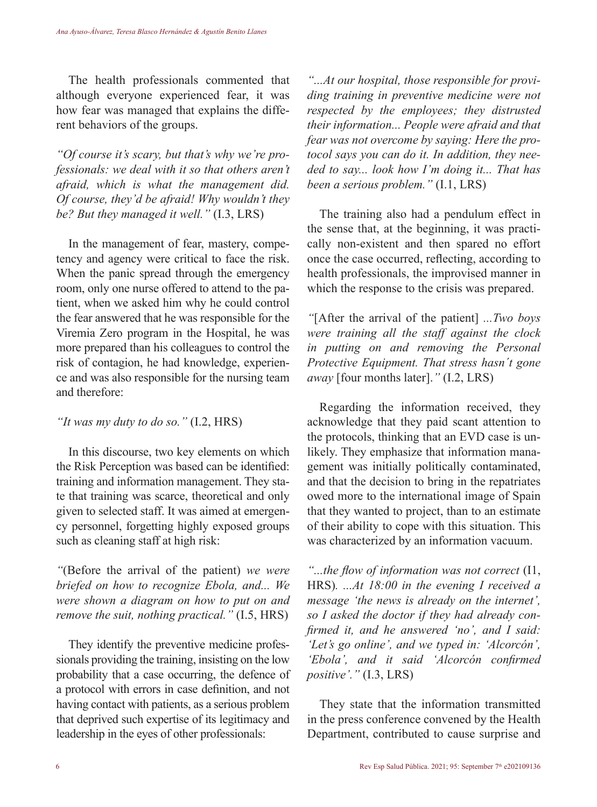The health professionals commented that although everyone experienced fear, it was how fear was managed that explains the different behaviors of the groups.

*"Of course it's scary, but that's why we're professionals: we deal with it so that others aren't afraid, which is what the management did. Of course, they'd be afraid! Why wouldn't they be? But they managed it well."* (I.3, LRS)

In the management of fear, mastery, competency and agency were critical to face the risk. When the panic spread through the emergency room, only one nurse offered to attend to the patient, when we asked him why he could control the fear answered that he was responsible for the Viremia Zero program in the Hospital, he was more prepared than his colleagues to control the risk of contagion, he had knowledge, experience and was also responsible for the nursing team and therefore:

*"It was my duty to do so."* (I.2, HRS)

In this discourse, two key elements on which the Risk Perception was based can be identified: training and information management. They state that training was scarce, theoretical and only given to selected staff. It was aimed at emergency personnel, forgetting highly exposed groups such as cleaning staff at high risk:

*"*(Before the arrival of the patient) *we were briefed on how to recognize Ebola, and... We were shown a diagram on how to put on and remove the suit, nothing practical."* (I.5, HRS)

They identify the preventive medicine professionals providing the training, insisting on the low probability that a case occurring, the defence of a protocol with errors in case definition, and not having contact with patients, as a serious problem that deprived such expertise of its legitimacy and leadership in the eyes of other professionals:

*"...At our hospital, those responsible for providing training in preventive medicine were not respected by the employees; they distrusted their information... People were afraid and that fear was not overcome by saying: Here the protocol says you can do it. In addition, they needed to say... look how I'm doing it... That has been a serious problem."* (I.1, LRS)

The training also had a pendulum effect in the sense that, at the beginning, it was practically non-existent and then spared no effort once the case occurred, reflecting, according to health professionals, the improvised manner in which the response to the crisis was prepared.

*"*[After the arrival of the patient] *...Two boys were training all the staff against the clock in putting on and removing the Personal Protective Equipment. That stress hasn´t gone away* [four months later].*"* (I.2, LRS)

Regarding the information received, they acknowledge that they paid scant attention to the protocols, thinking that an EVD case is unlikely. They emphasize that information management was initially politically contaminated, and that the decision to bring in the repatriates owed more to the international image of Spain that they wanted to project, than to an estimate of their ability to cope with this situation. This was characterized by an information vacuum.

*"...the flow of information was not correct* (I1, HRS)*. ...At 18:00 in the evening I received a message 'the news is already on the internet', so I asked the doctor if they had already confirmed it, and he answered 'no', and I said: 'Let's go online', and we typed in: 'Alcorcón', 'Ebola', and it said 'Alcorcón confirmed positive'."* (I.3, LRS)

They state that the information transmitted in the press conference convened by the Health Department, contributed to cause surprise and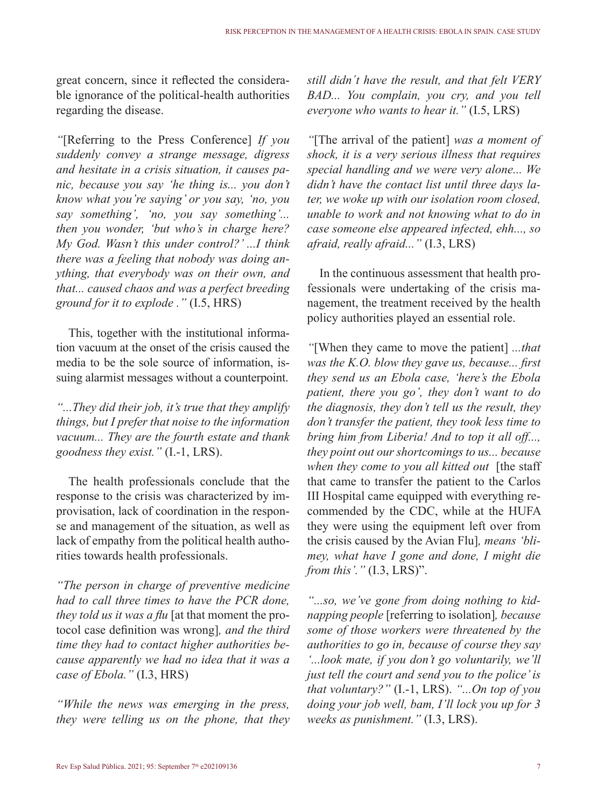great concern, since it reflected the considerable ignorance of the political-health authorities regarding the disease.

*"*[Referring to the Press Conference] *If you suddenly convey a strange message, digress and hesitate in a crisis situation, it causes panic, because you say 'he thing is... you don't know what you're saying' or you say, 'no, you say something', 'no, you say something'... then you wonder, 'but who's in charge here? My God. Wasn't this under control?' ...I think there was a feeling that nobody was doing anything, that everybody was on their own, and that... caused chaos and was a perfect breeding ground for it to explode ."* (I.5, HRS)

This, together with the institutional information vacuum at the onset of the crisis caused the media to be the sole source of information, issuing alarmist messages without a counterpoint.

*"...They did their job, it's true that they amplify things, but I prefer that noise to the information vacuum... They are the fourth estate and thank goodness they exist."* (I.-1, LRS).

The health professionals conclude that the response to the crisis was characterized by improvisation, lack of coordination in the response and management of the situation, as well as lack of empathy from the political health authorities towards health professionals.

*"The person in charge of preventive medicine had to call three times to have the PCR done, they told us it was a flu* [at that moment the protocol case definition was wrong]*, and the third time they had to contact higher authorities because apparently we had no idea that it was a case of Ebola."* (I.3, HRS)

*"While the news was emerging in the press, they were telling us on the phone, that they*  *still didn´t have the result, and that felt VERY BAD... You complain, you cry, and you tell everyone who wants to hear it."* (I.5, LRS)

*"*[The arrival of the patient] *was a moment of shock, it is a very serious illness that requires special handling and we were very alone... We didn't have the contact list until three days later, we woke up with our isolation room closed, unable to work and not knowing what to do in case someone else appeared infected, ehh..., so afraid, really afraid..."* (I.3, LRS)

In the continuous assessment that health professionals were undertaking of the crisis management, the treatment received by the health policy authorities played an essential role.

*"*[When they came to move the patient] *...that was the K.O. blow they gave us, because... first they send us an Ebola case, 'here's the Ebola patient, there you go', they don't want to do the diagnosis, they don't tell us the result, they don't transfer the patient, they took less time to bring him from Liberia! And to top it all off..., they point out our shortcomings to us... because when they come to you all kitted out* [the staff that came to transfer the patient to the Carlos III Hospital came equipped with everything recommended by the CDC, while at the HUFA they were using the equipment left over from the crisis caused by the Avian Flu]*, means 'blimey, what have I gone and done, I might die from this'."* (I.3, LRS)".

*"...so, we've gone from doing nothing to kidnapping people* [referring to isolation]*, because some of those workers were threatened by the authorities to go in, because of course they say '...look mate, if you don't go voluntarily, we'll just tell the court and send you to the police' is that voluntary?"* (I.-1, LRS). *"...On top of you doing your job well, bam, I'll lock you up for 3 weeks as punishment."* (I.3, LRS).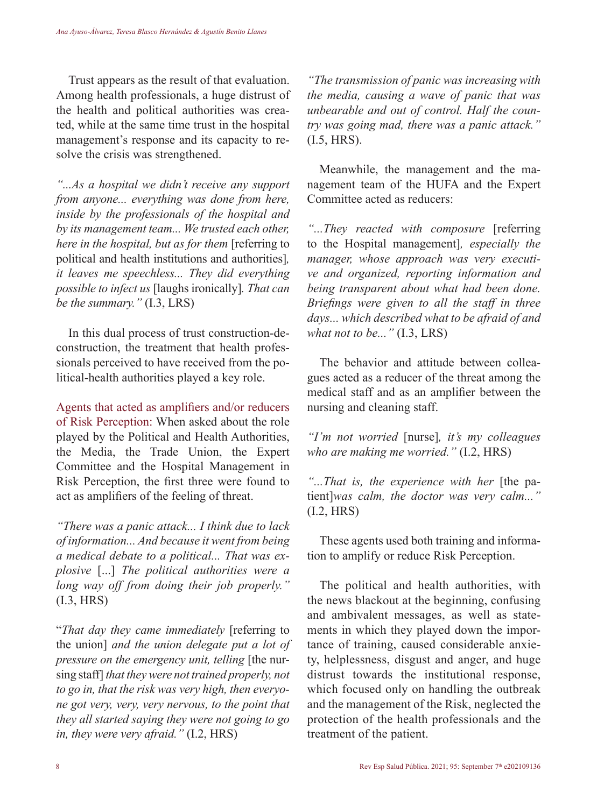Trust appears as the result of that evaluation. Among health professionals, a huge distrust of the health and political authorities was created, while at the same time trust in the hospital management's response and its capacity to resolve the crisis was strengthened.

*"...As a hospital we didn't receive any support from anyone... everything was done from here, inside by the professionals of the hospital and by its management team... We trusted each other, here in the hospital, but as for them* [referring to political and health institutions and authorities]*, it leaves me speechless... They did everything possible to infect us* [laughs ironically]*. That can be the summary."* (I.3, LRS)

In this dual process of trust construction-deconstruction, the treatment that health professionals perceived to have received from the political-health authorities played a key role.

Agents that acted as amplifiers and/or reducers of Risk Perception: When asked about the role played by the Political and Health Authorities, the Media, the Trade Union, the Expert Committee and the Hospital Management in Risk Perception, the first three were found to act as amplifiers of the feeling of threat.

*"There was a panic attack... I think due to lack of information... And because it went from being a medical debate to a political... That was explosive* [...] *The political authorities were a long way off from doing their job properly."* (I.3, HRS)

"*That day they came immediately* [referring to the union] *and the union delegate put a lot of pressure on the emergency unit, telling* [the nursing staff] *that they were not trained properly, not to go in, that the risk was very high, then everyone got very, very, very nervous, to the point that they all started saying they were not going to go in, they were very afraid."* (I.2, HRS)

*"The transmission of panic was increasing with the media, causing a wave of panic that was unbearable and out of control. Half the country was going mad, there was a panic attack."* (I.5, HRS).

Meanwhile, the management and the management team of the HUFA and the Expert Committee acted as reducers:

*"...They reacted with composure* [referring to the Hospital management]*, especially the manager, whose approach was very executive and organized, reporting information and being transparent about what had been done. Briefings were given to all the staff in three days... which described what to be afraid of and what not to be..."* (I.3, LRS)

The behavior and attitude between colleagues acted as a reducer of the threat among the medical staff and as an amplifier between the nursing and cleaning staff.

*"I'm not worried* [nurse]*, it's my colleagues who are making me worried."* (I.2, HRS)

*"...That is, the experience with her* [the patient]*was calm, the doctor was very calm..."* (I.2, HRS)

These agents used both training and information to amplify or reduce Risk Perception.

The political and health authorities, with the news blackout at the beginning, confusing and ambivalent messages, as well as statements in which they played down the importance of training, caused considerable anxiety, helplessness, disgust and anger, and huge distrust towards the institutional response, which focused only on handling the outbreak and the management of the Risk, neglected the protection of the health professionals and the treatment of the patient.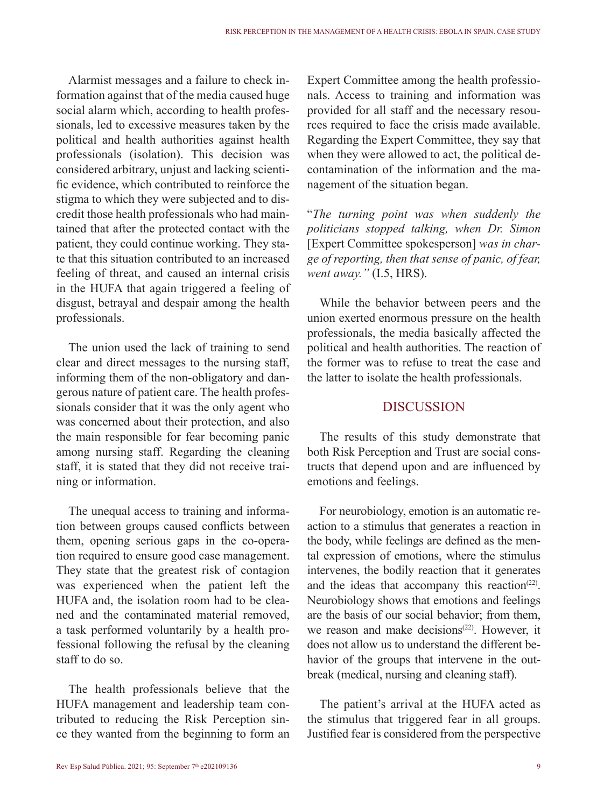Alarmist messages and a failure to check information against that of the media caused huge social alarm which, according to health professionals, led to excessive measures taken by the political and health authorities against health professionals (isolation). This decision was considered arbitrary, unjust and lacking scientific evidence, which contributed to reinforce the stigma to which they were subjected and to discredit those health professionals who had maintained that after the protected contact with the patient, they could continue working. They state that this situation contributed to an increased feeling of threat, and caused an internal crisis in the HUFA that again triggered a feeling of disgust, betrayal and despair among the health professionals.

The union used the lack of training to send clear and direct messages to the nursing staff, informing them of the non-obligatory and dangerous nature of patient care. The health professionals consider that it was the only agent who was concerned about their protection, and also the main responsible for fear becoming panic among nursing staff. Regarding the cleaning staff, it is stated that they did not receive training or information.

The unequal access to training and information between groups caused conflicts between them, opening serious gaps in the co-operation required to ensure good case management. They state that the greatest risk of contagion was experienced when the patient left the HUFA and, the isolation room had to be cleaned and the contaminated material removed, a task performed voluntarily by a health professional following the refusal by the cleaning staff to do so.

The health professionals believe that the HUFA management and leadership team contributed to reducing the Risk Perception since they wanted from the beginning to form an

Expert Committee among the health professionals. Access to training and information was provided for all staff and the necessary resources required to face the crisis made available. Regarding the Expert Committee, they say that when they were allowed to act, the political decontamination of the information and the management of the situation began.

"*The turning point was when suddenly the politicians stopped talking, when Dr. Simon*  [Expert Committee spokesperson] *was in charge of reporting, then that sense of panic, of fear, went away."* (I.5, HRS).

While the behavior between peers and the union exerted enormous pressure on the health professionals, the media basically affected the political and health authorities. The reaction of the former was to refuse to treat the case and the latter to isolate the health professionals.

# **DISCUSSION**

The results of this study demonstrate that both Risk Perception and Trust are social constructs that depend upon and are influenced by emotions and feelings.

For neurobiology, emotion is an automatic reaction to a stimulus that generates a reaction in the body, while feelings are defined as the mental expression of emotions, where the stimulus intervenes, the bodily reaction that it generates and the ideas that accompany this reaction<sup> $(22)$ </sup>. Neurobiology shows that emotions and feelings are the basis of our social behavior; from them, we reason and make decisions<sup> $(22)$ </sup> However, it does not allow us to understand the different behavior of the groups that intervene in the outbreak (medical, nursing and cleaning staff).

The patient's arrival at the HUFA acted as the stimulus that triggered fear in all groups. Justified fear is considered from the perspective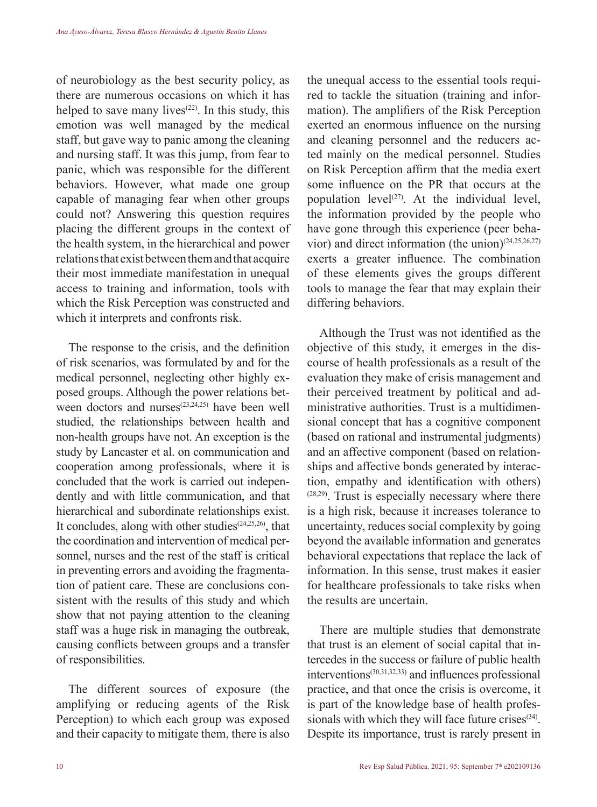of neurobiology as the best security policy, as there are numerous occasions on which it has helped to save many lives<sup> $(22)$ </sup>. In this study, this emotion was well managed by the medical staff, but gave way to panic among the cleaning and nursing staff. It was this jump, from fear to panic, which was responsible for the different behaviors. However, what made one group capable of managing fear when other groups could not? Answering this question requires placing the different groups in the context of the health system, in the hierarchical and power relations that exist between them and that acquire their most immediate manifestation in unequal access to training and information, tools with which the Risk Perception was constructed and which it interprets and confronts risk.

The response to the crisis, and the definition of risk scenarios, was formulated by and for the medical personnel, neglecting other highly exposed groups. Although the power relations between doctors and nurses $(23,24,25)$  have been well studied, the relationships between health and non-health groups have not. An exception is the study by Lancaster et al. on communication and cooperation among professionals, where it is concluded that the work is carried out independently and with little communication, and that hierarchical and subordinate relationships exist. It concludes, along with other studies<sup> $(24,25,26)$ </sup>, that the coordination and intervention of medical personnel, nurses and the rest of the staff is critical in preventing errors and avoiding the fragmentation of patient care. These are conclusions consistent with the results of this study and which show that not paying attention to the cleaning staff was a huge risk in managing the outbreak, causing conflicts between groups and a transfer of responsibilities.

The different sources of exposure (the amplifying or reducing agents of the Risk Perception) to which each group was exposed and their capacity to mitigate them, there is also the unequal access to the essential tools required to tackle the situation (training and information). The amplifiers of the Risk Perception exerted an enormous influence on the nursing and cleaning personnel and the reducers acted mainly on the medical personnel. Studies on Risk Perception affirm that the media exert some influence on the PR that occurs at the population level<sup> $(27)$ </sup>. At the individual level, the information provided by the people who have gone through this experience (peer behavior) and direct information (the union) $(24,25,26,27)$ exerts a greater influence. The combination of these elements gives the groups different tools to manage the fear that may explain their differing behaviors.

Although the Trust was not identified as the objective of this study, it emerges in the discourse of health professionals as a result of the evaluation they make of crisis management and their perceived treatment by political and administrative authorities. Trust is a multidimensional concept that has a cognitive component (based on rational and instrumental judgments) and an affective component (based on relationships and affective bonds generated by interaction, empathy and identification with others)  $(28,29)$ . Trust is especially necessary where there is a high risk, because it increases tolerance to uncertainty, reduces social complexity by going beyond the available information and generates behavioral expectations that replace the lack of information. In this sense, trust makes it easier for healthcare professionals to take risks when the results are uncertain.

There are multiple studies that demonstrate that trust is an element of social capital that intercedes in the success or failure of public health interventions(30,31,32,33) and influences professional practice, and that once the crisis is overcome, it is part of the knowledge base of health professionals with which they will face future crises<sup>(34)</sup>. Despite its importance, trust is rarely present in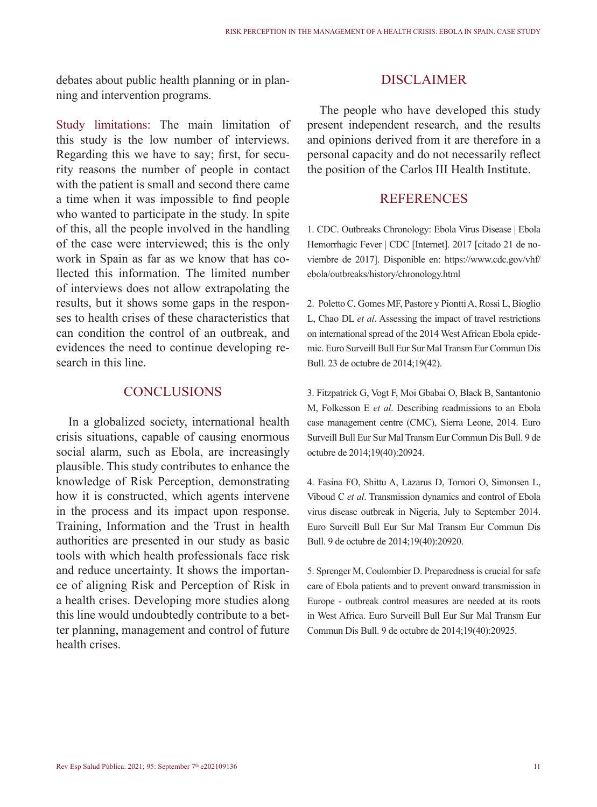debates about public health planning or in planning and intervention programs.

Study limitations: The main limitation of this study is the low number of interviews. Regarding this we have to say; first, for security reasons the number of people in contact with the patient is small and second there came a time when it was impossible to find people who wanted to participate in the study. In spite of this, all the people involved in the handling of the case were interviewed; this is the only work in Spain as far as we know that has collected this information. The limited number of interviews does not allow extrapolating the results, but it shows some gaps in the responses to health crises of these characteristics that can condition the control of an outbreak, and evidences the need to continue developing research in this line.

### **CONCLUSIONS**

In a globalized society, international health crisis situations, capable of causing enormous social alarm, such as Ebola, are increasingly plausible. This study contributes to enhance the knowledge of Risk Perception, demonstrating how it is constructed, which agents intervene in the process and its impact upon response. Training, Information and the Trust in health authorities are presented in our study as basic tools with which health professionals face risk and reduce uncertainty. It shows the importance of aligning Risk and Perception of Risk in a health crises. Developing more studies along this line would undoubtedly contribute to a better planning, management and control of future health crises.

## **DISCLAIMER**

The people who have developed this study present independent research, and the results and opinions derived from it are therefore in a personal capacity and do not necessarily reflect the position of the Carlos III Health Institute.

# **REFERENCES**

1. CDC. Outbreaks Chronology: Ebola Virus Disease | Ebola Hemorrhagic Fever | CDC [Internet]. 2017 [citado 21 de noviembre de 2017]. Disponible en: https://www.cdc.gov/vhf/ ebola/outbreaks/history/chronology.html

2. Poletto C, Gomes MF, Pastore y Piontti A, Rossi L, Bioglio L, Chao DL *et al*. Assessing the impact of travel restrictions on international spread of the 2014 West African Ebola epidemic. Euro Surveill Bull Eur Sur Mal Transm Eur Commun Dis Bull. 23 de octubre de 2014;19(42).

3. Fitzpatrick G, Vogt F, Moi Gbabai O, Black B, Santantonio M, Folkesson E *et al*. Describing readmissions to an Ebola case management centre (CMC), Sierra Leone, 2014. Euro Surveill Bull Eur Sur Mal Transm Eur Commun Dis Bull. 9 de octubre de 2014;19(40):20924.

4. Fasina FO, Shittu A, Lazarus D, Tomori O, Simonsen L, Viboud C *et al*. Transmission dynamics and control of Ebola virus disease outbreak in Nigeria, July to September 2014. Euro Surveill Bull Eur Sur Mal Transm Eur Commun Dis Bull. 9 de octubre de 2014;19(40):20920.

5. Sprenger M, Coulombier D. Preparedness is crucial for safe care of Ebola patients and to prevent onward transmission in Europe - outbreak control measures are needed at its roots in West Africa. Euro Surveill Bull Eur Sur Mal Transm Eur Commun Dis Bull. 9 de octubre de 2014;19(40):20925.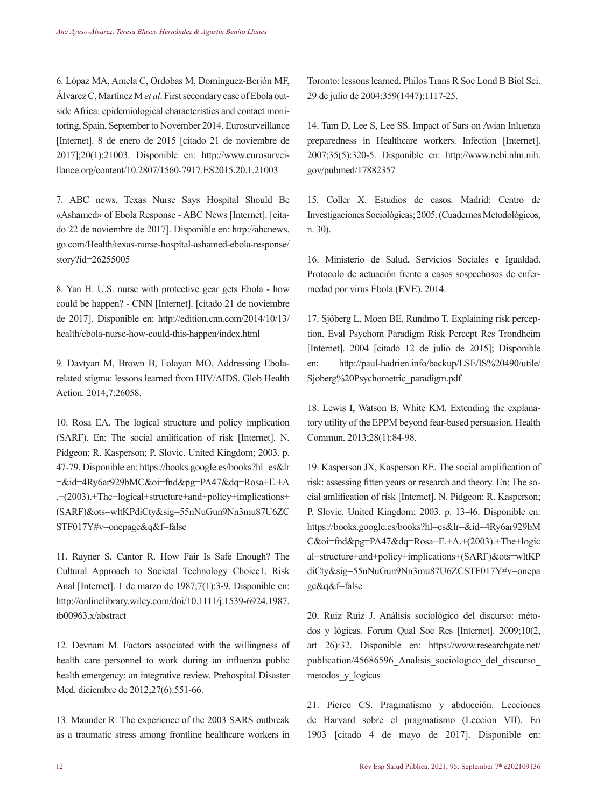6. Lópaz MA, Amela C, Ordobas M, Domínguez-Berjón MF, Álvarez C, Martínez M *et al*. First secondary case of Ebola outside Africa: epidemiological characteristics and contact monitoring, Spain, September to November 2014. Eurosurveillance [Internet]. 8 de enero de 2015 [citado 21 de noviembre de 2017];20(1):21003. Disponible en: http://www.eurosurveillance.org/content/10.2807/1560-7917.ES2015.20.1.21003

7. ABC news. Texas Nurse Says Hospital Should Be «Ashamed» of Ebola Response - ABC News [Internet]. [citado 22 de noviembre de 2017]. Disponible en: http://abcnews. go.com/Health/texas-nurse-hospital-ashamed-ebola-response/ story?id=26255005

8. Yan H. U.S. nurse with protective gear gets Ebola - how could be happen? - CNN [Internet]. [citado 21 de noviembre de 2017]. Disponible en: http://edition.cnn.com/2014/10/13/ health/ebola-nurse-how-could-this-happen/index.html

9. Davtyan M, Brown B, Folayan MO. Addressing Ebolarelated stigma: lessons learned from HIV/AIDS. Glob Health Action. 2014;7:26058.

10. Rosa EA. The logical structure and policy implication (SARF). En: The social amlification of risk [Internet]. N. Pidgeon; R. Kasperson; P. Slovic. United Kingdom; 2003. p. 47-79. Disponible en: https://books.google.es/books?hl=es&lr =&id=4Ry6ar929bMC&oi=fnd&pg=PA47&dq=Rosa+E.+A .+(2003).+The+logical+structure+and+policy+implications+ (SARF)&ots=wltKPdiCty&sig=55nNuGun9Nn3mu87U6ZC STF017Y#v=onepage&q&f=false

11. Rayner S, Cantor R. How Fair Is Safe Enough? The Cultural Approach to Societal Technology Choice1. Risk Anal [Internet]. 1 de marzo de 1987;7(1):3-9. Disponible en: http://onlinelibrary.wiley.com/doi/10.1111/j.1539-6924.1987. tb00963.x/abstract

12. Devnani M. Factors associated with the willingness of health care personnel to work during an influenza public health emergency: an integrative review. Prehospital Disaster Med. diciembre de 2012;27(6):551-66.

13. Maunder R. The experience of the 2003 SARS outbreak as a traumatic stress among frontline healthcare workers in

Toronto: lessons learned. Philos Trans R Soc Lond B Biol Sci. 29 de julio de 2004;359(1447):1117-25.

14. Tam D, Lee S, Lee SS. Impact of Sars on Avian Inluenza preparedness in Healthcare workers. Infection [Internet]. 2007;35(5):320-5. Disponible en: http://www.ncbi.nlm.nih. gov/pubmed/17882357

15. Coller X. Estudios de casos. Madrid: Centro de Investigaciones Sociológicas; 2005. (Cuadernos Metodológicos, n. 30).

16. Ministerio de Salud, Servicios Sociales e Igualdad. Protocolo de actuación frente a casos sospechosos de enfermedad por virus Ébola (EVE). 2014.

17. Sjöberg L, Moen BE, Rundmo T. Explaining risk perception. Eval Psychom Paradigm Risk Percept Res Trondheim [Internet]. 2004 [citado 12 de julio de 2015]; Disponible en: http://paul-hadrien.info/backup/LSE/IS%20490/utile/ Sjoberg%20Psychometric\_paradigm.pdf

18. Lewis I, Watson B, White KM. Extending the explanatory utility of the EPPM beyond fear-based persuasion. Health Commun. 2013;28(1):84-98.

19. Kasperson JX, Kasperson RE. The social amplification of risk: assessing fitten years or research and theory. En: The social amlification of risk [Internet]. N. Pidgeon; R. Kasperson; P. Slovic. United Kingdom; 2003. p. 13-46. Disponible en: https://books.google.es/books?hl=es&lr=&id=4Ry6ar929bM C&oi=fnd&pg=PA47&dq=Rosa+E.+A.+(2003).+The+logic al+structure+and+policy+implications+(SARF)&ots=wltKP diCty&sig=55nNuGun9Nn3mu87U6ZCSTF017Y#v=onepa ge&q&f=false

20. Ruiz Ruiz J. Análisis sociológico del discurso: métodos y lógicas. Forum Qual Soc Res [Internet]. 2009;10(2, art 26):32. Disponible en: https://www.researchgate.net/ publication/45686596\_Analisis\_sociologico\_del\_discurso\_ metodos y logicas

21. Pierce CS. Pragmatismo y abducción. Lecciones de Harvard sobre el pragmatismo (Leccion VII). En 1903 [citado 4 de mayo de 2017]. Disponible en: